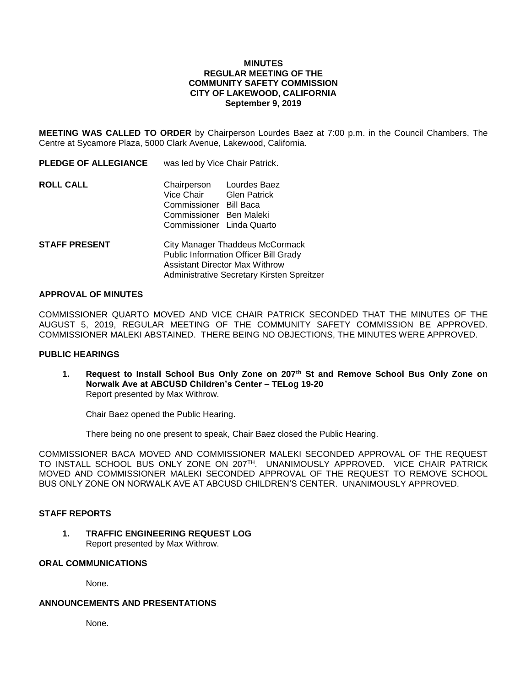### **MINUTES REGULAR MEETING OF THE COMMUNITY SAFETY COMMISSION CITY OF LAKEWOOD, CALIFORNIA September 9, 2019**

**MEETING WAS CALLED TO ORDER** by Chairperson Lourdes Baez at 7:00 p.m. in the Council Chambers, The Centre at Sycamore Plaza, 5000 Clark Avenue, Lakewood, California.

| <b>PLEDGE OF ALLEGIANCE</b> | was led by Vice Chair Patrick.                                                                                                                     |
|-----------------------------|----------------------------------------------------------------------------------------------------------------------------------------------------|
| <b>ROLL CALL</b>            | Chairperson<br>Lourdes Baez<br>Vice Chair<br><b>Glen Patrick</b><br>Commissioner Bill Baca<br>Commissioner Ben Maleki<br>Commissioner Linda Quarto |
| STAFF PRESENT               | City Manager Thaddeus McCormack<br><b>Public Information Officer Bill Grady</b><br>Assistant Director Max Withrow                                  |

#### **APPROVAL OF MINUTES**

COMMISSIONER QUARTO MOVED AND VICE CHAIR PATRICK SECONDED THAT THE MINUTES OF THE AUGUST 5, 2019, REGULAR MEETING OF THE COMMUNITY SAFETY COMMISSION BE APPROVED. COMMISSIONER MALEKI ABSTAINED. THERE BEING NO OBJECTIONS, THE MINUTES WERE APPROVED.

Administrative Secretary Kirsten Spreitzer

# **PUBLIC HEARINGS**

**1. Request to Install School Bus Only Zone on 207th St and Remove School Bus Only Zone on Norwalk Ave at ABCUSD Children's Center – TELog 19-20** Report presented by Max Withrow.

Chair Baez opened the Public Hearing.

There being no one present to speak, Chair Baez closed the Public Hearing.

COMMISSIONER BACA MOVED AND COMMISSIONER MALEKI SECONDED APPROVAL OF THE REQUEST TO INSTALL SCHOOL BUS ONLY ZONE ON 207TH. UNANIMOUSLY APPROVED. VICE CHAIR PATRICK MOVED AND COMMISSIONER MALEKI SECONDED APPROVAL OF THE REQUEST TO REMOVE SCHOOL BUS ONLY ZONE ON NORWALK AVE AT ABCUSD CHILDREN'S CENTER. UNANIMOUSLY APPROVED.

#### **STAFF REPORTS**

### **1. TRAFFIC ENGINEERING REQUEST LOG** Report presented by Max Withrow.

### **ORAL COMMUNICATIONS**

None.

### **ANNOUNCEMENTS AND PRESENTATIONS**

None.